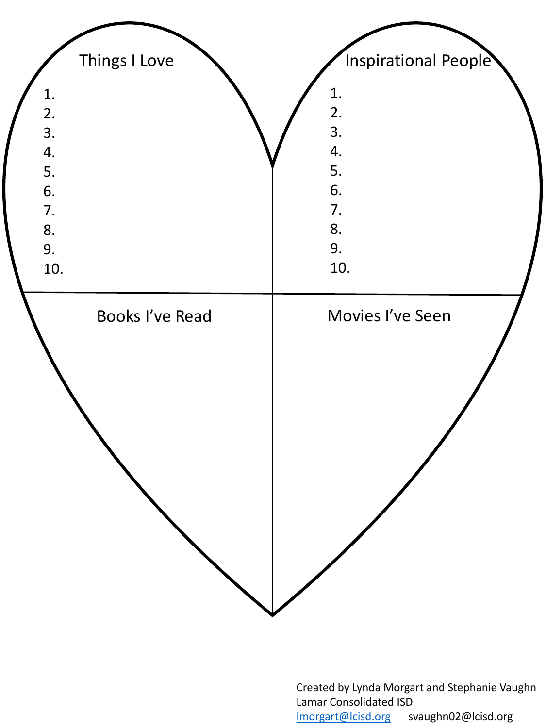

Created by Lynda Morgart and Stephanie Vaughn Lamar Consolidated ISD [lmorgart@lcisd.org](mailto:lmorgart@lcisd.org) svaughn02@lcisd.org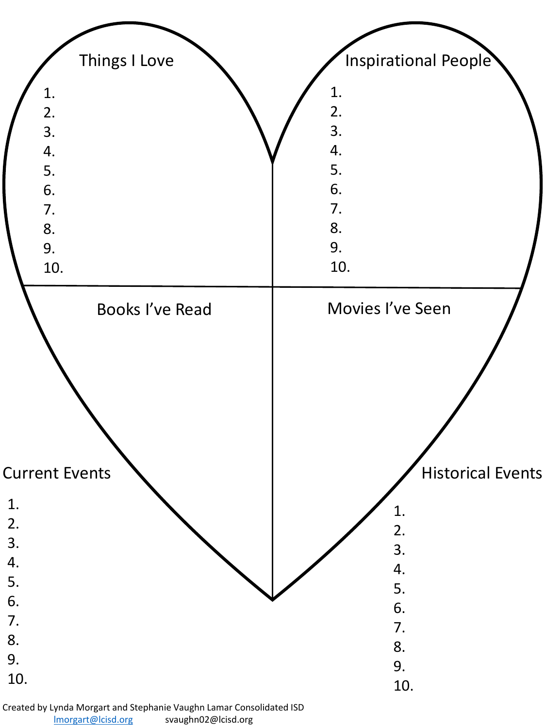

Created by Lynda Morgart and Stephanie Vaughn Lamar Consolidated ISD [lmorgart@lcisd.org](mailto:lmorgart@lcisd.org) svaughn02@lcisd.org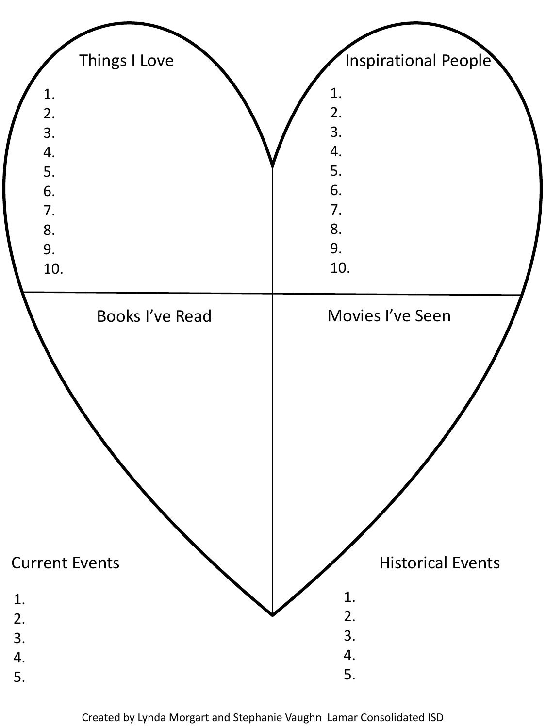

Created by Lynda Morgart and Stephanie Vaughn Lamar Consolidated ISD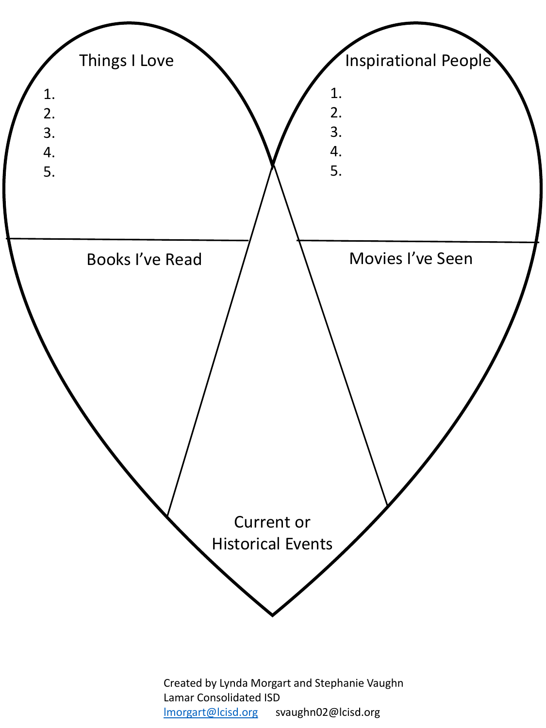

Created by Lynda Morgart and Stephanie Vaughn Lamar Consolidated ISD [lmorgart@lcisd.org](mailto:lmorgart@lcisd.org) svaughn02@lcisd.org